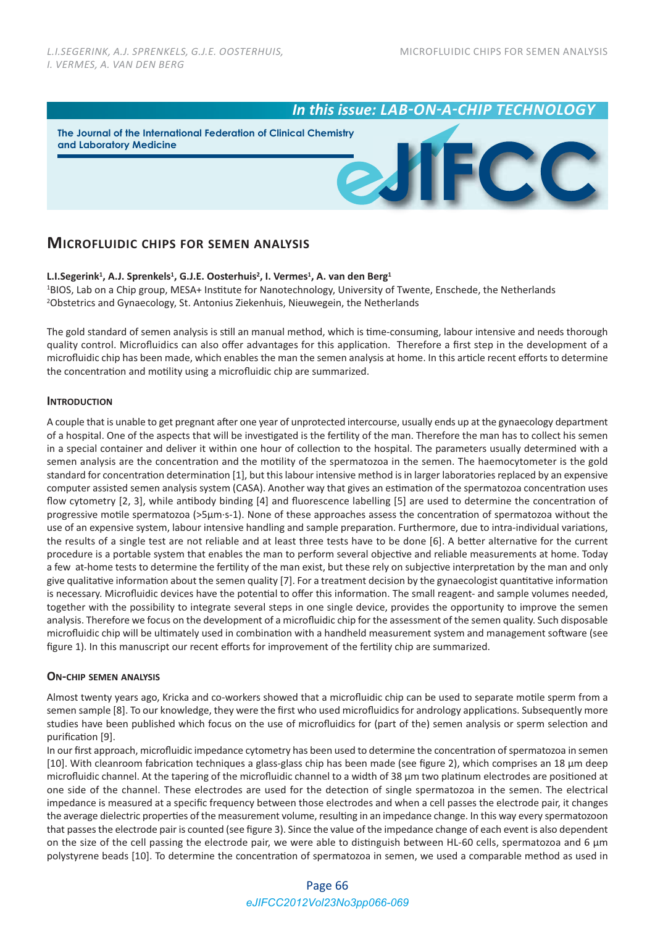# *In this issue: LAB-ON-A-CHIP TECHNOLOGY*

**The Journal of the International Federation of Clinical Chemistry and Laboratory Medicine**



# **MICROFLUIDIC CHIPS FOR SEMEN ANALYSIS**

L.I.Segerink<sup>1</sup>, A.J. Sprenkels<sup>1</sup>, G.J.E. Oosterhuis<sup>2</sup>, I. Vermes<sup>1</sup>, A. van den Berg<sup>1</sup>

1BIOS, Lab on a Chip group, MESA+ Institute for Nanotechnology, University of Twente, Enschede, the Netherlands 2Obstetrics and Gynaecology, St. Antonius Ziekenhuis, Nieuwegein, the Netherlands

The gold standard of semen analysis is still an manual method, which is time-consuming, labour intensive and needs thorough quality control. Microfluidics can also offer advantages for this application. Therefore a first step in the development of a microfluidic chip has been made, which enables the man the semen analysis at home. In this article recent efforts to determine the concentration and motility using a microfluidic chip are summarized.

# **INTRODUCTION**

A couple that is unable to get pregnant after one year of unprotected intercourse, usually ends up at the gynaecology department of a hospital. One of the aspects that will be investigated is the fertility of the man. Therefore the man has to collect his semen in a special container and deliver it within one hour of collection to the hospital. The parameters usually determined with a semen analysis are the concentration and the motility of the spermatozoa in the semen. The haemocytometer is the gold standard for concentration determination [1], but this labour intensive method is in larger laboratories replaced by an expensive computer assisted semen analysis system (CASA). Another way that gives an estimation of the spermatozoa concentration uses flow cytometry [2, 3], while antibody binding [4] and fluorescence labelling [5] are used to determine the concentration of progressive motile spermatozoa (>5μm·s‐1). None of these approaches assess the concentration of spermatozoa without the use of an expensive system, labour intensive handling and sample preparation. Furthermore, due to intra-individual variations, the results of a single test are not reliable and at least three tests have to be done [6]. A better alternative for the current procedure is a portable system that enables the man to perform several objective and reliable measurements at home. Today a few at-home tests to determine the fertility of the man exist, but these rely on subjective interpretation by the man and only give qualitative information about the semen quality [7]. For a treatment decision by the gynaecologist quantitative information is necessary. Microfluidic devices have the potential to offer this information. The small reagent- and sample volumes needed, together with the possibility to integrate several steps in one single device, provides the opportunity to improve the semen analysis. Therefore we focus on the development of a microfluidic chip for the assessment of the semen quality. Such disposable microfluidic chip will be ultimately used in combination with a handheld measurement system and management software (see figure 1). In this manuscript our recent efforts for improvement of the fertility chip are summarized.

# **ON‐CHIP SEMEN ANALYSIS**

Almost twenty years ago, Kricka and co‐workers showed that a microfluidic chip can be used to separate motile sperm from a semen sample [8]. To our knowledge, they were the first who used microfluidics for andrology applications. Subsequently more studies have been published which focus on the use of microfluidics for (part of the) semen analysis or sperm selection and purification [9].

In our first approach, microfluidic impedance cytometry has been used to determine the concentration of spermatozoa in semen [10]. With cleanroom fabrication techniques a glass‐glass chip has been made (see figure 2), which comprises an 18 µm deep microfluidic channel. At the tapering of the microfluidic channel to a width of 38 µm two platinum electrodes are positioned at one side of the channel. These electrodes are used for the detection of single spermatozoa in the semen. The electrical impedance is measured at a specific frequency between those electrodes and when a cell passes the electrode pair, it changes the average dielectric properties of the measurement volume, resulting in an impedance change. In this way every spermatozoon that passes the electrode pair is counted (see figure 3). Since the value of the impedance change of each event is also dependent on the size of the cell passing the electrode pair, we were able to distinguish between HL-60 cells, spermatozoa and 6  $\mu$ m polystyrene beads [10]. To determine the concentration of spermatozoa in semen, we used a comparable method as used in

# Page 66 *eJIFCC2012Vol23No3pp066-069*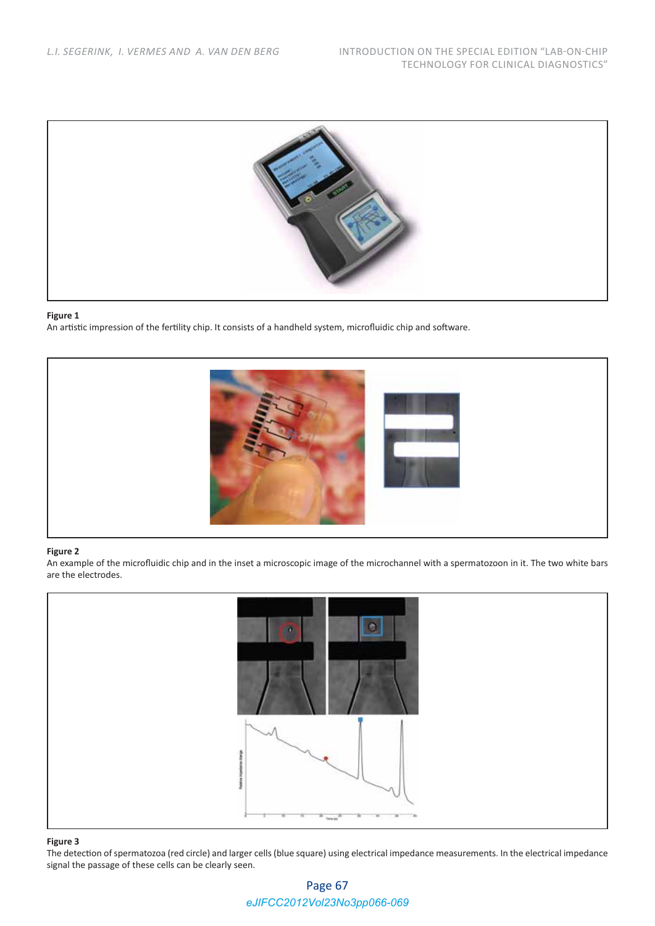

#### **Figure 1**

An artistic impression of the fertility chip. It consists of a handheld system, microfluidic chip and software.



#### **Figure 2**

An example of the microfluidic chip and in the inset a microscopic image of the microchannel with a spermatozoon in it. The two white bars are the electrodes.



#### **Figure 3**

The detection of spermatozoa (red circle) and larger cells (blue square) using electrical impedance measurements. In the electrical impedance signal the passage of these cells can be clearly seen.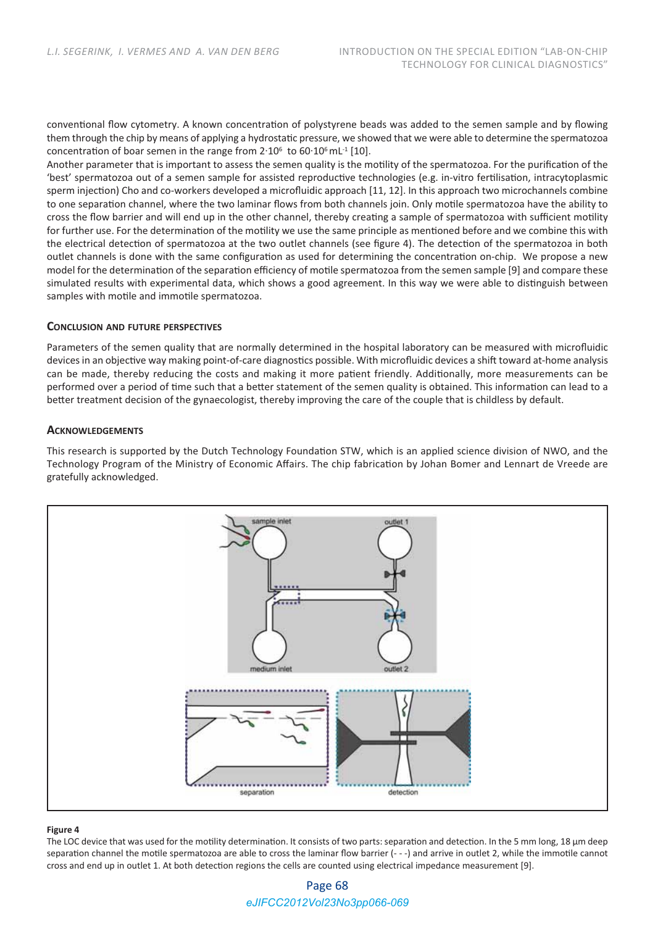conventional flow cytometry. A known concentration of polystyrene beads was added to the semen sample and by flowing them through the chip by means of applying a hydrostatic pressure, we showed that we were able to determine the spermatozoa concentration of boar semen in the range from  $2.10^6$  to  $60.10^6$  mL<sup>-1</sup> [10].

Another parameter that is important to assess the semen quality is the motility of the spermatozoa. For the purification of the 'best' spermatozoa out of a semen sample for assisted reproductive technologies (e.g. in‐vitro fertilisation, intracytoplasmic sperm injection) Cho and co-workers developed a microfluidic approach [11, 12]. In this approach two microchannels combine to one separation channel, where the two laminar flows from both channels join. Only motile spermatozoa have the ability to cross the flow barrier and will end up in the other channel, thereby creating a sample of spermatozoa with sufficient motility for further use. For the determination of the motility we use the same principle as mentioned before and we combine this with the electrical detection of spermatozoa at the two outlet channels (see figure 4). The detection of the spermatozoa in both outlet channels is done with the same configuration as used for determining the concentration on‐chip. We propose a new model for the determination of the separation efficiency of motile spermatozoa from the semen sample [9] and compare these simulated results with experimental data, which shows a good agreement. In this way we were able to distinguish between samples with motile and immotile spermatozoa.

### **CONCLUSION AND FUTURE PERSPECTIVES**

Parameters of the semen quality that are normally determined in the hospital laboratory can be measured with microfluidic devices in an objective way making point‐of‐care diagnostics possible. With microfluidic devices a shift toward at‐home analysis can be made, thereby reducing the costs and making it more patient friendly. Additionally, more measurements can be performed over a period of time such that a better statement of the semen quality is obtained. This information can lead to a better treatment decision of the gynaecologist, thereby improving the care of the couple that is childless by default.

# **ACKNOWLEDGEMENTS**

This research is supported by the Dutch Technology Foundation STW, which is an applied science division of NWO, and the Technology Program of the Ministry of Economic Affairs. The chip fabrication by Johan Bomer and Lennart de Vreede are gratefully acknowledged.



#### **Figure 4**

The LOC device that was used for the motility determination. It consists of two parts: separation and detection. In the 5 mm long, 18 µm deep separation channel the motile spermatozoa are able to cross the laminar flow barrier (---) and arrive in outlet 2, while the immotile cannot cross and end up in outlet 1. At both detection regions the cells are counted using electrical impedance measurement [9].